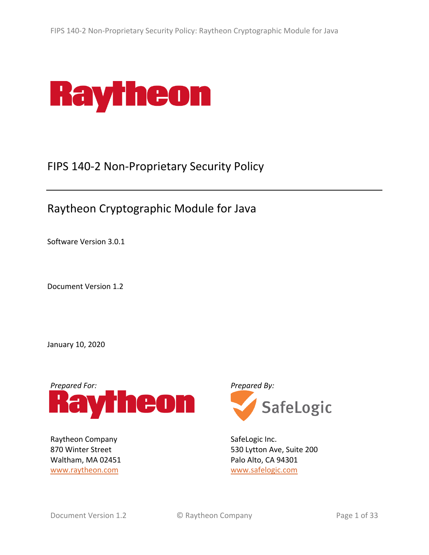

# FIPS 140-2 Non-Proprietary Security Policy

# Raytheon Cryptographic Module for Java

Software Version 3.0.1

Document Version 1.2

January 10, 2020



Raytheon Company 870 Winter Street Waltham, MA 02451 www.raytheon.com



SafeLogic Inc. 530 Lytton Ave, Suite 200 Palo Alto, CA 94301 www.safelogic.com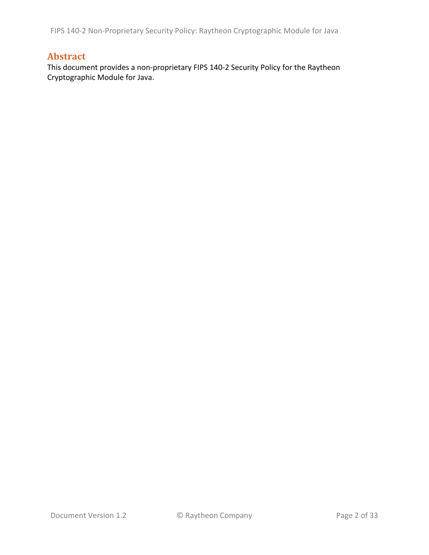FIPS 140-2 Non-Proprietary Security Policy: Raytheon Cryptographic Module for Java

### **Abstract**

This document provides a non-proprietary FIPS 140-2 Security Policy for the Raytheon Cryptographic Module for Java.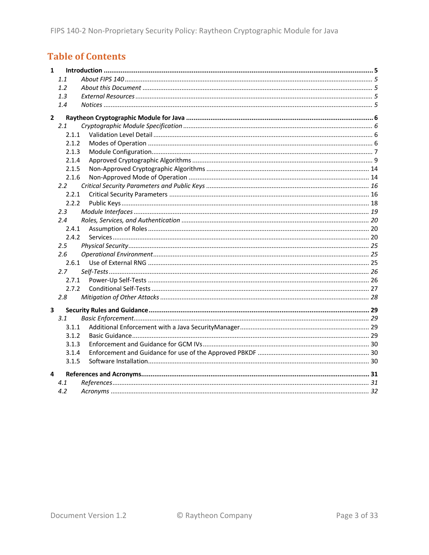# **Table of Contents**

| 1                       |                |  |
|-------------------------|----------------|--|
|                         | 1.1            |  |
|                         | 1.2            |  |
|                         | 1.3            |  |
|                         | 1.4            |  |
| $\overline{2}$          |                |  |
|                         | 2.1            |  |
|                         | 2.1.1          |  |
|                         | 2.1.2          |  |
|                         | 2.1.3          |  |
|                         | 2.1.4          |  |
|                         | 2.1.5          |  |
|                         | 2.1.6          |  |
|                         | $2.2^{\circ}$  |  |
|                         | 2.2.1          |  |
|                         | 2.2.2          |  |
|                         | $2.3^{\circ}$  |  |
|                         | $2.4^{\circ}$  |  |
|                         | 2.4.1          |  |
|                         | 2.4.2          |  |
|                         | $2.5^{\circ}$  |  |
|                         | 2.6            |  |
|                         | 2.6.1          |  |
|                         | 2.7            |  |
|                         | 2.7.1<br>2.7.2 |  |
|                         | 2.8            |  |
|                         |                |  |
| $\overline{\mathbf{3}}$ |                |  |
|                         | 3.1            |  |
|                         | 3.1.1          |  |
|                         | 3.1.2          |  |
|                         | 3.1.3          |  |
|                         | 3.1.4          |  |
|                         | 3.1.5          |  |
| 4                       |                |  |
|                         | 4.1            |  |
|                         | 4.2            |  |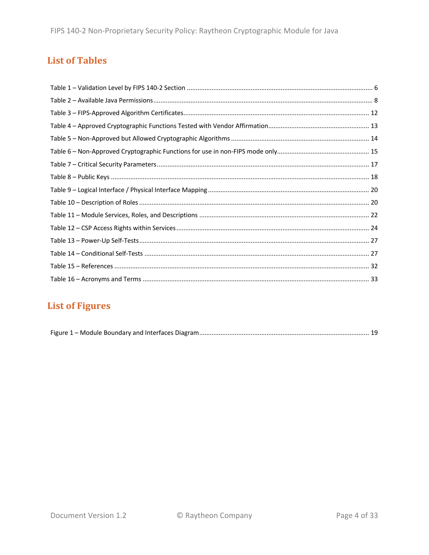## **List of Tables**

# **List of Figures**

|--|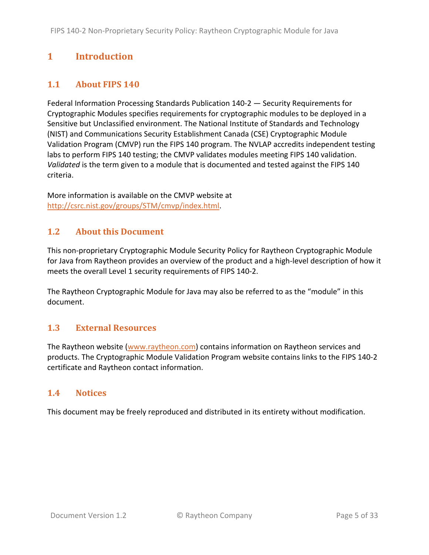# **1 Introduction**

#### **1.1 About FIPS 140**

Federal Information Processing Standards Publication 140-2 — Security Requirements for Cryptographic Modules specifies requirements for cryptographic modules to be deployed in a Sensitive but Unclassified environment. The National Institute of Standards and Technology (NIST) and Communications Security Establishment Canada (CSE) Cryptographic Module Validation Program (CMVP) run the FIPS 140 program. The NVLAP accredits independent testing labs to perform FIPS 140 testing; the CMVP validates modules meeting FIPS 140 validation. *Validated* is the term given to a module that is documented and tested against the FIPS 140 criteria.

More information is available on the CMVP website at http://csrc.nist.gov/groups/STM/cmvp/index.html.

#### **1.2 About this Document**

This non-proprietary Cryptographic Module Security Policy for Raytheon Cryptographic Module for Java from Raytheon provides an overview of the product and a high-level description of how it meets the overall Level 1 security requirements of FIPS 140-2.

The Raytheon Cryptographic Module for Java may also be referred to as the "module" in this document.

#### **1.3 External Resources**

The Raytheon website (www.raytheon.com) contains information on Raytheon services and products. The Cryptographic Module Validation Program website contains links to the FIPS 140-2 certificate and Raytheon contact information.

#### **1.4 Notices**

This document may be freely reproduced and distributed in its entirety without modification.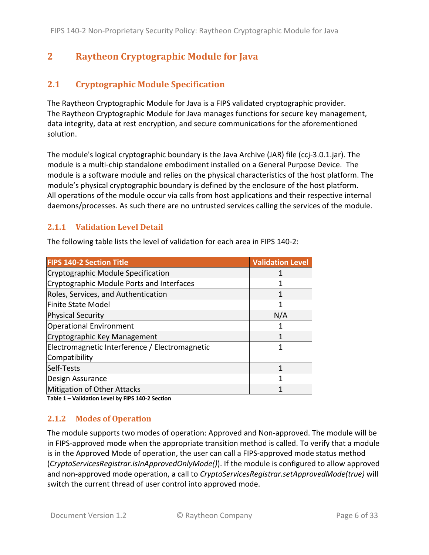# **2 Raytheon Cryptographic Module for Java**

### **2.1 Cryptographic Module Specification**

The Raytheon Cryptographic Module for Java is a FIPS validated cryptographic provider. The Raytheon Cryptographic Module for Java manages functions for secure key management, data integrity, data at rest encryption, and secure communications for the aforementioned solution.

The module's logical cryptographic boundary is the Java Archive (JAR) file (ccj-3.0.1.jar). The module is a multi-chip standalone embodiment installed on a General Purpose Device. The module is a software module and relies on the physical characteristics of the host platform. The module's physical cryptographic boundary is defined by the enclosure of the host platform. All operations of the module occur via calls from host applications and their respective internal daemons/processes. As such there are no untrusted services calling the services of the module.

#### **2.1.1 Validation Level Detail**

The following table lists the level of validation for each area in FIPS 140-2:

| <b>FIPS 140-2 Section Title</b>                | <b>Validation Level</b> |
|------------------------------------------------|-------------------------|
| Cryptographic Module Specification             |                         |
| Cryptographic Module Ports and Interfaces      |                         |
| Roles, Services, and Authentication            |                         |
| Finite State Model                             |                         |
| <b>Physical Security</b>                       | N/A                     |
| <b>Operational Environment</b>                 |                         |
| Cryptographic Key Management                   |                         |
| Electromagnetic Interference / Electromagnetic |                         |
| Compatibility                                  |                         |
| Self-Tests                                     | 1                       |
| Design Assurance                               |                         |
| Mitigation of Other Attacks                    |                         |

**Table 1 – Validation Level by FIPS 140-2 Section**

#### **2.1.2 Modes of Operation**

The module supports two modes of operation: Approved and Non-approved. The module will be in FIPS-approved mode when the appropriate transition method is called. To verify that a module is in the Approved Mode of operation, the user can call a FIPS-approved mode status method (*CryptoServicesRegistrar.isInApprovedOnlyMode()*). If the module is configured to allow approved and non-approved mode operation, a call to *CryptoServicesRegistrar.setApprovedMode(true)* will switch the current thread of user control into approved mode.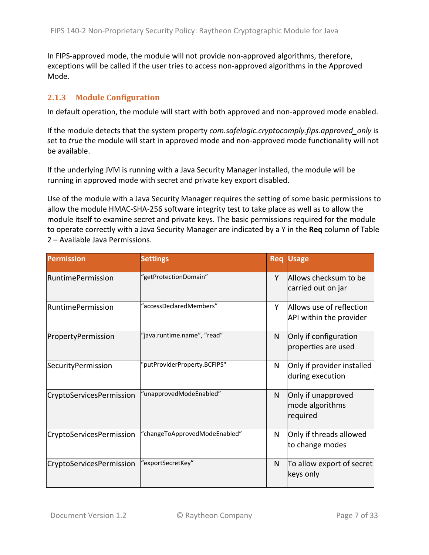In FIPS-approved mode, the module will not provide non-approved algorithms, therefore, exceptions will be called if the user tries to access non-approved algorithms in the Approved Mode.

#### **2.1.3 Module Configuration**

In default operation, the module will start with both approved and non-approved mode enabled.

If the module detects that the system property *com.safelogic.cryptocomply.fips.approved\_only* is set to *true* the module will start in approved mode and non-approved mode functionality will not be available.

If the underlying JVM is running with a Java Security Manager installed, the module will be running in approved mode with secret and private key export disabled.

Use of the module with a Java Security Manager requires the setting of some basic permissions to allow the module HMAC-SHA-256 software integrity test to take place as well as to allow the module itself to examine secret and private keys. The basic permissions required for the module to operate correctly with a Java Security Manager are indicated by a Y in the **Req** column of Table 2 – Available Java Permissions.

| <b>Permission</b>        | <b>Settings</b>               | <b>Req</b> | <b>Usage</b>                                        |
|--------------------------|-------------------------------|------------|-----------------------------------------------------|
| <b>RuntimePermission</b> | "getProtectionDomain"         | Y          | Allows checksum to be<br>carried out on jar         |
| <b>RuntimePermission</b> | "accessDeclaredMembers"       | Υ          | Allows use of reflection<br>API within the provider |
| PropertyPermission       | "java.runtime.name", "read"   | N          | Only if configuration<br>properties are used        |
| SecurityPermission       | 'putProviderProperty.BCFIPS"  | N          | Only if provider installed<br>during execution      |
| CryptoServicesPermission | 'unapprovedModeEnabled"       | N          | Only if unapproved<br>mode algorithms<br>required   |
| CryptoServicesPermission | "changeToApprovedModeEnabled" | N          | Only if threads allowed<br>to change modes          |
| CryptoServicesPermission | 'exportSecretKey"             | N          | To allow export of secret<br>keys only              |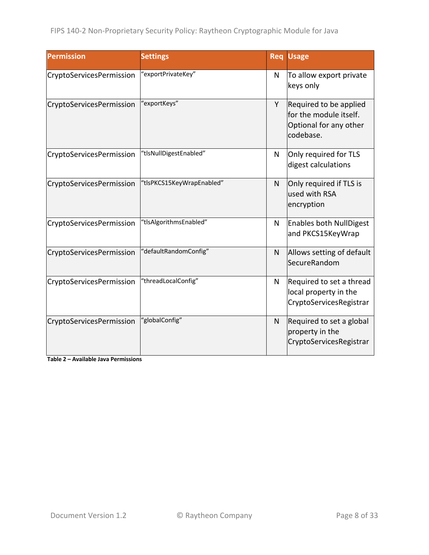| <b>Permission</b>        | <b>Settings</b>           | Req | <b>Usage</b>                                                                            |
|--------------------------|---------------------------|-----|-----------------------------------------------------------------------------------------|
| CryptoServicesPermission | "exportPrivateKey"        | N   | To allow export private<br>keys only                                                    |
| CryptoServicesPermission | "exportKeys"              | Y   | Required to be applied<br>for the module itself.<br>Optional for any other<br>codebase. |
| CryptoServicesPermission | "tlsNullDigestEnabled"    | N   | Only required for TLS<br>digest calculations                                            |
| CryptoServicesPermission | "tlsPKCS15KeyWrapEnabled" | N   | Only required if TLS is<br>used with RSA<br>encryption                                  |
| CryptoServicesPermission | "tlsAlgorithmsEnabled"    | N   | <b>Enables both NullDigest</b><br>and PKCS15KeyWrap                                     |
| CryptoServicesPermission | "defaultRandomConfig"     | N   | Allows setting of default<br>SecureRandom                                               |
| CryptoServicesPermission | "threadLocalConfig"       | N   | Required to set a thread<br>local property in the<br>CryptoServicesRegistrar            |
| CryptoServicesPermission | "globalConfig"            | N   | Required to set a global<br>property in the<br>CryptoServicesRegistrar                  |

**Table 2 – Available Java Permissions**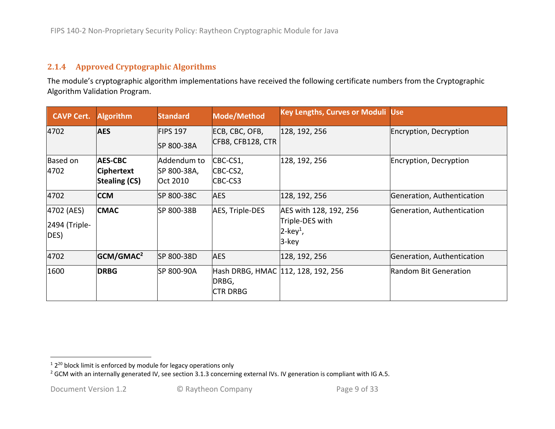#### **2.1.4 Approved Cryptographic Algorithms**

The module's cryptographic algorithm implementations have received the following certificate numbers from the Cryptographic Algorithm Validation Program.

| <b>CAVP Cert.</b>                   | <b>Algorithm</b>                                            | <b>Standard</b>                        | Mode/Method                                                    | <b>Key Lengths, Curves or Moduli Use</b>                                      |                            |
|-------------------------------------|-------------------------------------------------------------|----------------------------------------|----------------------------------------------------------------|-------------------------------------------------------------------------------|----------------------------|
| 4702                                | <b>AES</b>                                                  | <b>FIPS 197</b><br>SP 800-38A          | ECB, CBC, OFB,<br>CFB8, CFB128, CTR                            | 128, 192, 256                                                                 | Encryption, Decryption     |
| <b>Based on</b><br>4702             | <b>AES-CBC</b><br><b>Ciphertext</b><br><b>Stealing (CS)</b> | Addendum to<br>SP 800-38A,<br>Oct 2010 | CBC-CS1,<br>CBC-CS2,<br>CBC-CS3                                | 128, 192, 256                                                                 | Encryption, Decryption     |
| 4702                                | <b>CCM</b>                                                  | SP 800-38C                             | <b>AES</b>                                                     | 128, 192, 256                                                                 | Generation, Authentication |
| 4702 (AES)<br>2494 (Triple-<br>DES) | <b>CMAC</b>                                                 | SP 800-38B                             | AES, Triple-DES                                                | AES with 128, 192, 256<br>Triple-DES with<br>$2$ -key <sup>1</sup> ,<br>3-key | Generation, Authentication |
| 4702                                | GCM/GMAC <sup>2</sup>                                       | SP 800-38D                             | <b>AES</b>                                                     | 128, 192, 256                                                                 | Generation, Authentication |
| 1600                                | <b>DRBG</b>                                                 | SP 800-90A                             | Hash DRBG, HMAC 112, 128, 192, 256<br>DRBG,<br><b>CTR DRBG</b> |                                                                               | Random Bit Generation      |

 $12^{20}$  block limit is enforced by module for legacy operations only

<sup>&</sup>lt;sup>2</sup> GCM with an internally generated IV, see section 3.1.3 concerning external IVs. IV generation is compliant with IG A.5.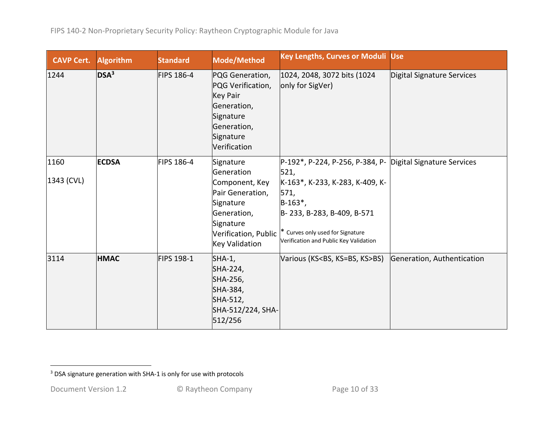| <b>CAVP Cert.</b>  | <b>Algorithm</b> | <b>Standard</b>   | Mode/Method                                                                                                                                      | <b>Key Lengths, Curves or Moduli Use</b>                                                                                                                                                                                                 |                            |
|--------------------|------------------|-------------------|--------------------------------------------------------------------------------------------------------------------------------------------------|------------------------------------------------------------------------------------------------------------------------------------------------------------------------------------------------------------------------------------------|----------------------------|
| 1244               | DSA <sup>3</sup> | <b>FIPS 186-4</b> | PQG Generation,<br>PQG Verification,<br><b>Key Pair</b><br>Generation,<br>Signature<br>Generation,<br>Signature<br>Verification                  | 1024, 2048, 3072 bits (1024)<br>only for SigVer)                                                                                                                                                                                         | Digital Signature Services |
| 1160<br>1343 (CVL) | <b>ECDSA</b>     | <b>FIPS 186-4</b> | Signature<br>Generation<br>Component, Key<br>Pair Generation,<br>Signature<br>Generation,<br>Signature<br>Verification, Public<br>Key Validation | P-192*, P-224, P-256, P-384, P- Digital Signature Services<br>521,<br>K-163*, K-233, K-283, K-409, K-<br>571,<br>$B-163^*$ ,<br>B-233, B-283, B-409, B-571<br>* Curves only used for Signature<br>Verification and Public Key Validation |                            |
| 3114               | <b>HMAC</b>      | FIPS 198-1        | SHA-1,<br>SHA-224,<br>SHA-256,<br>SHA-384,<br>SHA-512,<br>SHA-512/224, SHA-<br>512/256                                                           | Various (KS <bs, ks="">BS)</bs,>                                                                                                                                                                                                         | Generation, Authentication |

<sup>&</sup>lt;sup>3</sup> DSA signature generation with SHA-1 is only for use with protocols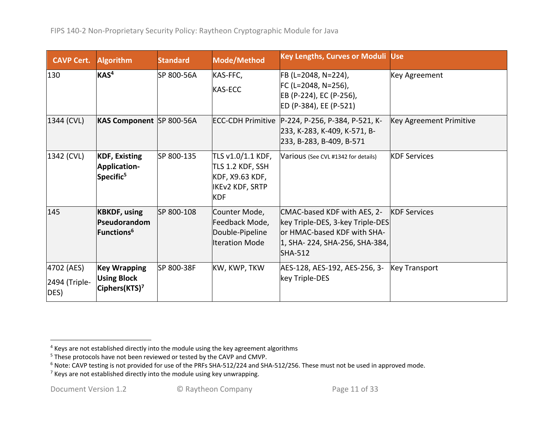| <b>CAVP Cert.</b>                   | <b>Algorithm</b>                                                       | <b>Standard</b> | Mode/Method                                                                                      | <b>Key Lengths, Curves or Moduli Use</b>                                                                                                           |                         |
|-------------------------------------|------------------------------------------------------------------------|-----------------|--------------------------------------------------------------------------------------------------|----------------------------------------------------------------------------------------------------------------------------------------------------|-------------------------|
| 130                                 | KAS <sup>4</sup>                                                       | SP 800-56A      | KAS-FFC,<br><b>KAS-ECC</b>                                                                       | FB (L=2048, N=224),<br>FC (L=2048, N=256),<br>EB (P-224), EC (P-256),<br>ED (P-384), EE (P-521)                                                    | Key Agreement           |
| 1344 (CVL)                          | KAS Component SP 800-56A                                               |                 |                                                                                                  | ECC-CDH Primitive   P-224, P-256, P-384, P-521, K-<br>233, K-283, K-409, K-571, B-<br>233, B-283, B-409, B-571                                     | Key Agreement Primitive |
| 1342 (CVL)                          | <b>KDF, Existing</b><br><b>Application-</b><br>Specific <sup>5</sup>   | SP 800-135      | TLS v1.0/1.1 KDF,<br>TLS 1.2 KDF, SSH<br>KDF, X9.63 KDF,<br><b>IKEv2 KDF, SRTP</b><br><b>KDF</b> | Various (See CVL #1342 for details)                                                                                                                | <b>KDF Services</b>     |
| 145                                 | <b>KBKDF, using</b><br>Pseudorandom<br>Functions $^6$                  | SP 800-108      | Counter Mode,<br>Feedback Mode,<br>Double-Pipeline<br><b>Iteration Mode</b>                      | CMAC-based KDF with AES, 2-<br>key Triple-DES, 3-key Triple-DES<br>or HMAC-based KDF with SHA-<br>1, SHA- 224, SHA-256, SHA-384,<br><b>SHA-512</b> | <b>KDF Services</b>     |
| 4702 (AES)<br>2494 (Triple-<br>DES) | <b>Key Wrapping</b><br><b>Using Block</b><br>Ciphers(KTS) <sup>7</sup> | SP 800-38F      | KW, KWP, TKW                                                                                     | AES-128, AES-192, AES-256, 3-<br>key Triple-DES                                                                                                    | <b>Key Transport</b>    |

 $4$  Keys are not established directly into the module using the key agreement algorithms

<sup>&</sup>lt;sup>5</sup> These protocols have not been reviewed or tested by the CAVP and CMVP.

<sup>&</sup>lt;sup>6</sup> Note: CAVP testing is not provided for use of the PRFs SHA-512/224 and SHA-512/256. These must not be used in approved mode.

 $7$  Keys are not established directly into the module using key unwrapping.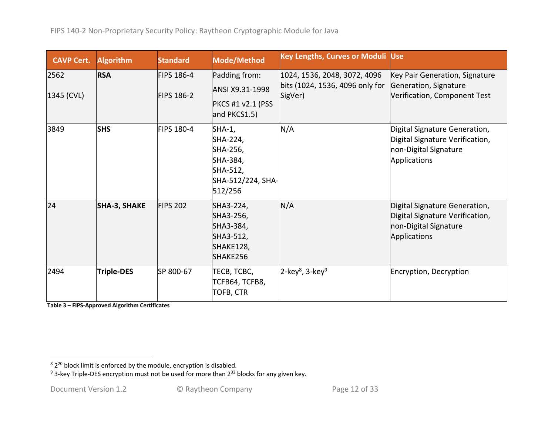| <b>CAVP Cert.</b>  | <b>Algorithm</b>    | <b>Standard</b>                        | Mode/Method                                                                            | <b>Key Lengths, Curves or Moduli Use</b>                                   |                                                                                                           |
|--------------------|---------------------|----------------------------------------|----------------------------------------------------------------------------------------|----------------------------------------------------------------------------|-----------------------------------------------------------------------------------------------------------|
| 2562<br>1345 (CVL) | <b>RSA</b>          | <b>FIPS 186-4</b><br><b>FIPS 186-2</b> | Padding from:<br>ANSI X9.31-1998<br><b>PKCS #1 v2.1 (PSS</b><br>and PKCS1.5)           | 1024, 1536, 2048, 3072, 4096<br>bits (1024, 1536, 4096 only for<br>SigVer) | Key Pair Generation, Signature<br>Generation, Signature<br>Verification, Component Test                   |
| 3849               | <b>SHS</b>          | <b>FIPS 180-4</b>                      | SHA-1,<br>SHA-224,<br>SHA-256,<br>SHA-384,<br>SHA-512,<br>SHA-512/224, SHA-<br>512/256 | N/A                                                                        | Digital Signature Generation,<br>Digital Signature Verification,<br>non-Digital Signature<br>Applications |
| 24                 | <b>SHA-3, SHAKE</b> | <b>FIPS 202</b>                        | SHA3-224,<br>SHA3-256,<br>SHA3-384,<br>SHA3-512,<br>SHAKE128,<br>SHAKE256              | N/A                                                                        | Digital Signature Generation,<br>Digital Signature Verification,<br>non-Digital Signature<br>Applications |
| 2494               | <b>Triple-DES</b>   | SP 800-67                              | ТЕСВ, ТСВС,<br><b>TCFB64, TCFB8,</b><br>TOFB, CTR                                      | $2$ -key <sup>8</sup> , 3-key <sup>9</sup>                                 | Encryption, Decryption                                                                                    |

**Table 3 – FIPS-Approved Algorithm Certificates**

 $82^{20}$  block limit is enforced by the module, encryption is disabled.

<sup>&</sup>lt;sup>9</sup> 3-key Triple-DES encryption must not be used for more than  $2^{32}$  blocks for any given key.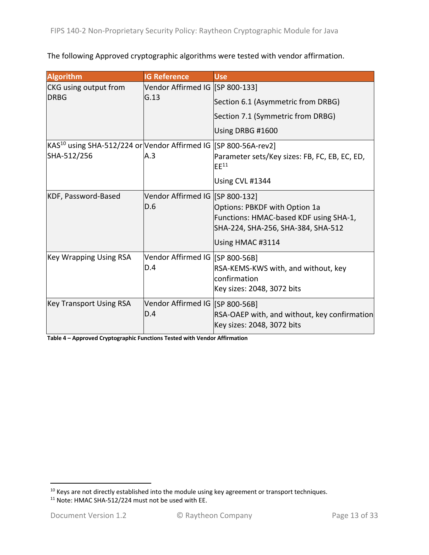The following Approved cryptographic algorithms were tested with vendor affirmation.

| <b>Algorithm</b>                                                                           | <b>IG Reference</b>                    | <b>Use</b>                                                                                                                        |
|--------------------------------------------------------------------------------------------|----------------------------------------|-----------------------------------------------------------------------------------------------------------------------------------|
| CKG using output from                                                                      | Vendor Affirmed IG [SP 800-133]        |                                                                                                                                   |
| <b>DRBG</b>                                                                                | G.13                                   | Section 6.1 (Asymmetric from DRBG)                                                                                                |
|                                                                                            |                                        | Section 7.1 (Symmetric from DRBG)                                                                                                 |
|                                                                                            |                                        | Using DRBG #1600                                                                                                                  |
| KAS <sup>10</sup> using SHA-512/224 or Vendor Affirmed IG [SP 800-56A-rev2]<br>SHA-512/256 | A.3                                    | Parameter sets/Key sizes: FB, FC, EB, EC, ED,<br>$E E^{11}$                                                                       |
|                                                                                            |                                        | Using CVL #1344                                                                                                                   |
| KDF, Password-Based                                                                        | Vendor Affirmed IG [SP 800-132]<br>D.6 | Options: PBKDF with Option 1a<br>Functions: HMAC-based KDF using SHA-1,<br>SHA-224, SHA-256, SHA-384, SHA-512<br>Using HMAC #3114 |
| <b>Key Wrapping Using RSA</b>                                                              | Vendor Affirmed IG [SP 800-56B]<br>D.4 | RSA-KEMS-KWS with, and without, key<br>confirmation<br>Key sizes: 2048, 3072 bits                                                 |
| <b>Key Transport Using RSA</b>                                                             | Vendor Affirmed IG [SP 800-56B]<br>D.4 | RSA-OAEP with, and without, key confirmation<br>Key sizes: 2048, 3072 bits                                                        |

**Table 4 – Approved Cryptographic Functions Tested with Vendor Affirmation**

 $10$  Keys are not directly established into the module using key agreement or transport techniques.

<sup>&</sup>lt;sup>11</sup> Note: HMAC SHA-512/224 must not be used with EE.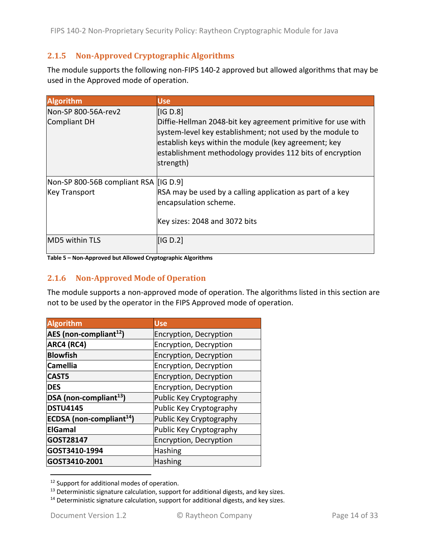### **2.1.5 Non-Approved Cryptographic Algorithms**

The module supports the following non-FIPS 140-2 approved but allowed algorithms that may be used in the Approved mode of operation.

| <b>Algorithm</b>                        | <b>Use</b>                                                                                                                                                                                                                                                  |
|-----------------------------------------|-------------------------------------------------------------------------------------------------------------------------------------------------------------------------------------------------------------------------------------------------------------|
| Non-SP 800-56A-rev2                     | IG D.8                                                                                                                                                                                                                                                      |
| Compliant DH                            | Diffie-Hellman 2048-bit key agreement primitive for use with<br>system-level key establishment; not used by the module to<br>establish keys within the module (key agreement; key<br>establishment methodology provides 112 bits of encryption<br>strength) |
| Non-SP 800-56B compliant RSA   [IG D.9] |                                                                                                                                                                                                                                                             |
| <b>Key Transport</b>                    | RSA may be used by a calling application as part of a key<br>encapsulation scheme.                                                                                                                                                                          |
|                                         | Key sizes: 2048 and 3072 bits                                                                                                                                                                                                                               |
| <b>MD5 within TLS</b>                   | IG D.2                                                                                                                                                                                                                                                      |

#### **Table 5 – Non-Approved but Allowed Cryptographic Algorithms**

#### **2.1.6 Non-Approved Mode of Operation**

The module supports a non-approved mode of operation. The algorithms listed in this section are not to be used by the operator in the FIPS Approved mode of operation.

| <b>Algorithm</b>                            | <b>Use</b>              |
|---------------------------------------------|-------------------------|
| AES (non-compliant <sup>12</sup> )          | Encryption, Decryption  |
| ARC4 (RC4)                                  | Encryption, Decryption  |
| <b>Blowfish</b>                             | Encryption, Decryption  |
| <b>Camellia</b>                             | Encryption, Decryption  |
| CAST5                                       | Encryption, Decryption  |
| <b>DES</b>                                  | Encryption, Decryption  |
| DSA (non-compliant <sup>13</sup> )          | Public Key Cryptography |
| <b>DSTU4145</b>                             | Public Key Cryptography |
| <b>ECDSA</b> (non-compliant <sup>14</sup> ) | Public Key Cryptography |
| <b>ElGamal</b>                              | Public Key Cryptography |
| GOST28147                                   | Encryption, Decryption  |
| GOST3410-1994                               | <b>Hashing</b>          |
| GOST3410-2001                               | <b>Hashing</b>          |

<sup>&</sup>lt;sup>12</sup> Support for additional modes of operation.

 $13$  Deterministic signature calculation, support for additional digests, and key sizes.

 $14$  Deterministic signature calculation, support for additional digests, and key sizes.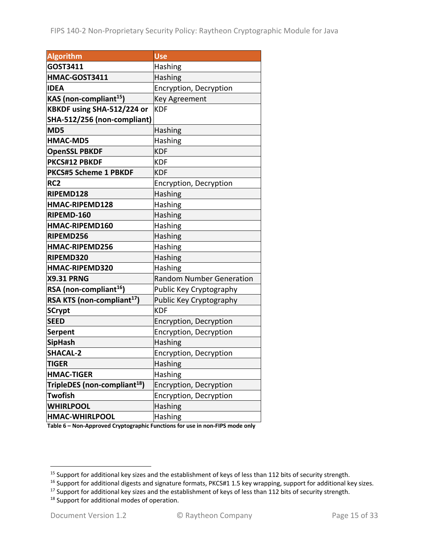| <b>Algorithm</b>                         | Use                             |
|------------------------------------------|---------------------------------|
| GOST3411                                 | Hashing                         |
| HMAC-GOST3411                            | Hashing                         |
| <b>IDEA</b>                              | Encryption, Decryption          |
| KAS (non-compliant <sup>15</sup> )       | <b>Key Agreement</b>            |
| KBKDF using SHA-512/224 or               | <b>KDF</b>                      |
| SHA-512/256 (non-compliant)              |                                 |
| MD5                                      | Hashing                         |
| <b>HMAC-MD5</b>                          | Hashing                         |
| <b>OpenSSL PBKDF</b>                     | <b>KDF</b>                      |
| PKCS#12 PBKDF                            | <b>KDF</b>                      |
| <b>PKCS#5 Scheme 1 PBKDF</b>             | <b>KDF</b>                      |
| RC <sub>2</sub>                          | Encryption, Decryption          |
| RIPEMD128                                | Hashing                         |
| HMAC-RIPEMD128                           | Hashing                         |
| RIPEMD-160                               | Hashing                         |
| HMAC-RIPEMD160                           | Hashing                         |
| RIPEMD256                                | Hashing                         |
| HMAC-RIPEMD256                           | Hashing                         |
| RIPEMD320                                | <b>Hashing</b>                  |
| HMAC-RIPEMD320                           | Hashing                         |
| <b>X9.31 PRNG</b>                        | <b>Random Number Generation</b> |
| RSA (non-compliant <sup>16</sup> )       | Public Key Cryptography         |
| RSA KTS (non-compliant <sup>17</sup> )   | Public Key Cryptography         |
| <b>SCrypt</b>                            | <b>KDF</b>                      |
| <b>SEED</b>                              | Encryption, Decryption          |
| <b>Serpent</b>                           | Encryption, Decryption          |
| <b>SipHash</b>                           | Hashing                         |
| <b>SHACAL-2</b>                          | Encryption, Decryption          |
| <b>TIGER</b>                             | Hashing                         |
| <b>HMAC-TIGER</b>                        | <b>Hashing</b>                  |
| TripleDES (non-compliant <sup>18</sup> ) | Encryption, Decryption          |
| <b>Twofish</b>                           | Encryption, Decryption          |
| <b>WHIRLPOOL</b>                         | Hashing                         |
| <b>HMAC-WHIRLPOOL</b>                    | Hashing                         |

**Table 6 – Non-Approved Cryptographic Functions for use in non-FIPS mode only**

<sup>&</sup>lt;sup>15</sup> Support for additional key sizes and the establishment of keys of less than 112 bits of security strength.

<sup>16</sup> Support for additional digests and signature formats, PKCS#1 1.5 key wrapping, support for additional key sizes.

<sup>&</sup>lt;sup>17</sup> Support for additional key sizes and the establishment of keys of less than 112 bits of security strength.

<sup>&</sup>lt;sup>18</sup> Support for additional modes of operation.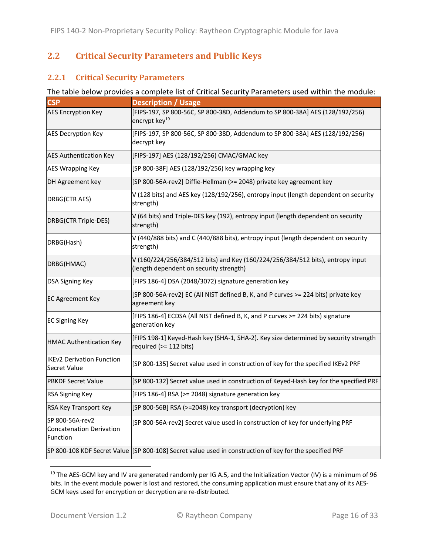#### **2.2 Critical Security Parameters and Public Keys**

#### **2.2.1 Critical Security Parameters**

#### The table below provides a complete list of Critical Security Parameters used within the module:

| <b>CSP</b>                                                     | <b>Description / Usage</b>                                                                                                |
|----------------------------------------------------------------|---------------------------------------------------------------------------------------------------------------------------|
| <b>AES Encryption Key</b>                                      | [FIPS-197, SP 800-56C, SP 800-38D, Addendum to SP 800-38A] AES (128/192/256)<br>encrypt key <sup>19</sup>                 |
| <b>AES Decryption Key</b>                                      | [FIPS-197, SP 800-56C, SP 800-38D, Addendum to SP 800-38A] AES (128/192/256)<br>decrypt key                               |
| <b>AES Authentication Key</b>                                  | [FIPS-197] AES (128/192/256) CMAC/GMAC key                                                                                |
| <b>AES Wrapping Key</b>                                        | [SP 800-38F] AES (128/192/256) key wrapping key                                                                           |
| DH Agreement key                                               | [SP 800-56A-rev2] Diffie-Hellman (>= 2048) private key agreement key                                                      |
| DRBG(CTR AES)                                                  | V (128 bits) and AES key (128/192/256), entropy input (length dependent on security<br>strength)                          |
| DRBG(CTR Triple-DES)                                           | V (64 bits) and Triple-DES key (192), entropy input (length dependent on security<br>strength)                            |
| DRBG(Hash)                                                     | V (440/888 bits) and C (440/888 bits), entropy input (length dependent on security<br>strength)                           |
| DRBG(HMAC)                                                     | V (160/224/256/384/512 bits) and Key (160/224/256/384/512 bits), entropy input<br>(length dependent on security strength) |
| DSA Signing Key                                                | [FIPS 186-4] DSA (2048/3072) signature generation key                                                                     |
| <b>EC Agreement Key</b>                                        | [SP 800-56A-rev2] EC (All NIST defined B, K, and P curves >= 224 bits) private key<br>agreement key                       |
| <b>EC Signing Key</b>                                          | [FIPS 186-4] ECDSA (All NIST defined B, K, and P curves >= 224 bits) signature<br>generation key                          |
| <b>HMAC Authentication Key</b>                                 | [FIPS 198-1] Keyed-Hash key (SHA-1, SHA-2). Key size determined by security strength<br>required (>= 112 bits)            |
| <b>IKEv2 Derivation Function</b><br>Secret Value               | [SP 800-135] Secret value used in construction of key for the specified IKEv2 PRF                                         |
| <b>PBKDF Secret Value</b>                                      | [SP 800-132] Secret value used in construction of Keyed-Hash key for the specified PRF                                    |
| RSA Signing Key                                                | [FIPS 186-4] RSA (>= 2048) signature generation key                                                                       |
| RSA Key Transport Key                                          | [SP 800-56B] RSA (>=2048) key transport (decryption) key                                                                  |
| SP 800-56A-rev2<br><b>Concatenation Derivation</b><br>Function | [SP 800-56A-rev2] Secret value used in construction of key for underlying PRF                                             |
|                                                                | SP 800-108 KDF Secret Value [SP 800-108] Secret value used in construction of key for the specified PRF                   |

<sup>&</sup>lt;sup>19</sup> The AES-GCM key and IV are generated randomly per IG A.5, and the Initialization Vector (IV) is a minimum of 96 bits. In the event module power is lost and restored, the consuming application must ensure that any of its AES-GCM keys used for encryption or decryption are re-distributed.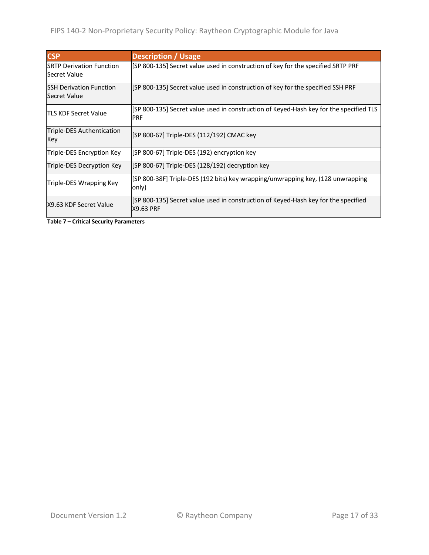| <b>CSP</b>                                       | <b>Description / Usage</b>                                                                             |
|--------------------------------------------------|--------------------------------------------------------------------------------------------------------|
| <b>SRTP Derivation Function</b><br>lSecret Value | [SP 800-135] Secret value used in construction of key for the specified SRTP PRF                       |
| ISSH Derivation Function<br><b>Secret Value</b>  | [SP 800-135] Secret value used in construction of key for the specified SSH PRF                        |
| <b>TLS KDF Secret Value</b>                      | [SP 800-135] Secret value used in construction of Keyed-Hash key for the specified TLS<br><b>PRF</b>   |
| Triple-DES Authentication<br>Key                 | [SP 800-67] Triple-DES (112/192) CMAC key                                                              |
| Triple-DES Encryption Key                        | [SP 800-67] Triple-DES (192) encryption key                                                            |
| Triple-DES Decryption Key                        | [SP 800-67] Triple-DES (128/192) decryption key                                                        |
| Triple-DES Wrapping Key                          | [SP 800-38F] Triple-DES (192 bits) key wrapping/unwrapping key, (128 unwrapping<br>only)               |
| X9.63 KDF Secret Value                           | [SP 800-135] Secret value used in construction of Keyed-Hash key for the specified<br><b>X9.63 PRF</b> |

**Table 7 – Critical Security Parameters**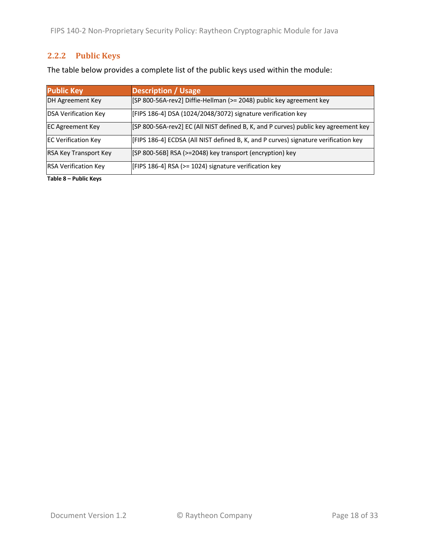FIPS 140-2 Non-Proprietary Security Policy: Raytheon Cryptographic Module for Java

### **2.2.2 Public Keys**

The table below provides a complete list of the public keys used within the module:

| <b>Public Key</b>            | <b>Description / Usage</b>                                                          |
|------------------------------|-------------------------------------------------------------------------------------|
| DH Agreement Key             | [SP 800-56A-rev2] Diffie-Hellman (>= 2048) public key agreement key                 |
| <b>DSA Verification Key</b>  | [FIPS 186-4] DSA (1024/2048/3072) signature verification key                        |
| <b>EC Agreement Key</b>      | [SP 800-56A-rev2] EC (All NIST defined B, K, and P curves) public key agreement key |
| <b>EC Verification Key</b>   | [FIPS 186-4] ECDSA (All NIST defined B, K, and P curves) signature verification key |
| <b>RSA Key Transport Key</b> | [SP 800-56B] RSA (>=2048) key transport (encryption) key                            |
| <b>RSA Verification Key</b>  | [FIPS 186-4] RSA (>= 1024) signature verification key                               |

**Table 8 – Public Keys**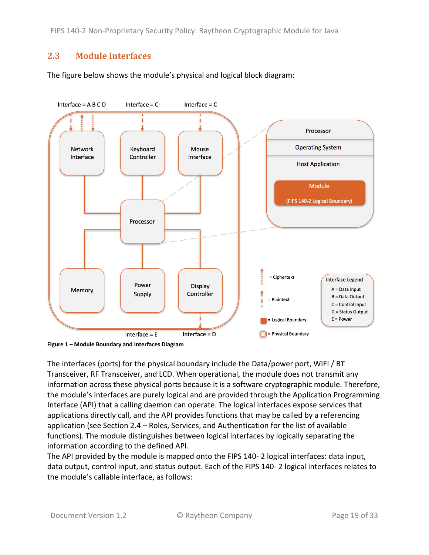FIPS 140-2 Non-Proprietary Security Policy: Raytheon Cryptographic Module for Java

#### **2.3 Module Interfaces**

The figure below shows the module's physical and logical block diagram:



**Figure 1 – Module Boundary and Interfaces Diagram**

The interfaces (ports) for the physical boundary include the Data/power port, WIFI / BT Transceiver, RF Transceiver, and LCD. When operational, the module does not transmit any information across these physical ports because it is a software cryptographic module. Therefore, the module's interfaces are purely logical and are provided through the Application Programming Interface (API) that a calling daemon can operate. The logical interfaces expose services that applications directly call, and the API provides functions that may be called by a referencing application (see Section 2.4 – Roles, Services, and Authentication for the list of available functions). The module distinguishes between logical interfaces by logically separating the information according to the defined API.

The API provided by the module is mapped onto the FIPS 140- 2 logical interfaces: data input, data output, control input, and status output. Each of the FIPS 140- 2 logical interfaces relates to the module's callable interface, as follows: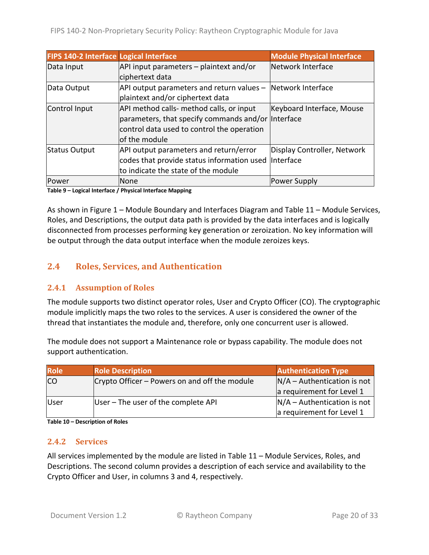| <b>FIPS 140-2 Interface Logical Interface</b> |                                                                 | <b>Module Physical Interface</b> |
|-----------------------------------------------|-----------------------------------------------------------------|----------------------------------|
| Data Input                                    | API input parameters - plaintext and/or                         | Network Interface                |
|                                               | ciphertext data                                                 |                                  |
| Data Output                                   | $API$ output parameters and return values $-$ Network Interface |                                  |
|                                               | plaintext and/or ciphertext data                                |                                  |
| Control Input                                 | API method calls- method calls, or input                        | Keyboard Interface, Mouse        |
|                                               | parameters, that specify commands and/or Interface              |                                  |
|                                               | control data used to control the operation                      |                                  |
|                                               | of the module                                                   |                                  |
| Status Output                                 | API output parameters and return/error                          | Display Controller, Network      |
|                                               | codes that provide status information used Interface            |                                  |
|                                               | to indicate the state of the module                             |                                  |
| Power                                         | None                                                            | Power Supply                     |

**Table 9 – Logical Interface / Physical Interface Mapping**

As shown in Figure 1 – Module Boundary and Interfaces Diagram and Table 11 – Module Services, Roles, and Descriptions, the output data path is provided by the data interfaces and is logically disconnected from processes performing key generation or zeroization. No key information will be output through the data output interface when the module zeroizes keys.

#### **2.4 Roles, Services, and Authentication**

#### **2.4.1 Assumption of Roles**

The module supports two distinct operator roles, User and Crypto Officer (CO). The cryptographic module implicitly maps the two roles to the services. A user is considered the owner of the thread that instantiates the module and, therefore, only one concurrent user is allowed.

The module does not support a Maintenance role or bypass capability. The module does not support authentication.

| Role       | <b>Role Description</b>                       | <b>Authentication Type</b>    |
|------------|-----------------------------------------------|-------------------------------|
| <b>ICO</b> | Crypto Officer – Powers on and off the module | $N/A -$ Authentication is not |
|            |                                               | a requirement for Level 1     |
| User       | User – The user of the complete API           | $N/A -$ Authentication is not |
|            |                                               | a requirement for Level 1     |

**Table 10 – Description of Roles**

#### **2.4.2 Services**

All services implemented by the module are listed in Table 11 – Module Services, Roles, and Descriptions. The second column provides a description of each service and availability to the Crypto Officer and User, in columns 3 and 4, respectively.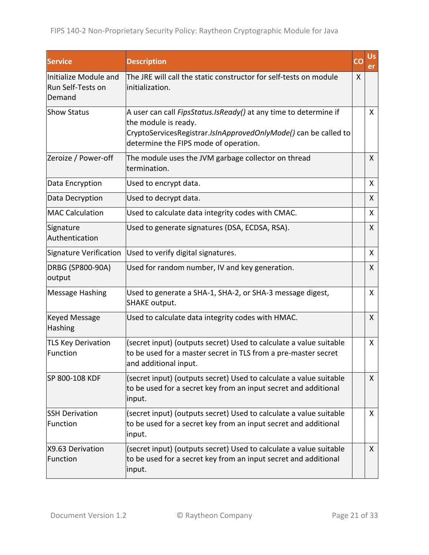| <b>Service</b>                                       | <b>Description</b>                                                                                                                                                                                    | CO | Us,<br>er    |
|------------------------------------------------------|-------------------------------------------------------------------------------------------------------------------------------------------------------------------------------------------------------|----|--------------|
| Initialize Module and<br>Run Self-Tests on<br>Demand | The JRE will call the static constructor for self-tests on module<br>initialization.                                                                                                                  | X  |              |
| <b>Show Status</b>                                   | A user can call FipsStatus. IsReady() at any time to determine if<br>the module is ready.<br>CryptoServicesRegistrar.IsInApprovedOnlyMode() can be called to<br>determine the FIPS mode of operation. |    | $\mathsf{X}$ |
| Zeroize / Power-off                                  | The module uses the JVM garbage collector on thread<br>termination.                                                                                                                                   |    | X            |
| Data Encryption                                      | Used to encrypt data.                                                                                                                                                                                 |    | X            |
| Data Decryption                                      | Used to decrypt data.                                                                                                                                                                                 |    | X            |
| <b>MAC Calculation</b>                               | Used to calculate data integrity codes with CMAC.                                                                                                                                                     |    | X            |
| Signature<br>Authentication                          | Used to generate signatures (DSA, ECDSA, RSA).                                                                                                                                                        |    | $\mathsf{X}$ |
| <b>Signature Verification</b>                        | Used to verify digital signatures.                                                                                                                                                                    |    | X            |
| DRBG (SP800-90A)<br>output                           | Used for random number, IV and key generation.                                                                                                                                                        |    | X            |
| <b>Message Hashing</b>                               | Used to generate a SHA-1, SHA-2, or SHA-3 message digest,<br><b>SHAKE output.</b>                                                                                                                     |    | $\mathsf{X}$ |
| <b>Keyed Message</b><br>Hashing                      | Used to calculate data integrity codes with HMAC.                                                                                                                                                     |    | $\mathsf{X}$ |
| <b>TLS Key Derivation</b><br>Function                | (secret input) (outputs secret) Used to calculate a value suitable<br>to be used for a master secret in TLS from a pre-master secret<br>and additional input.                                         |    | $\mathsf{X}$ |
| SP 800-108 KDF                                       | (secret input) (outputs secret) Used to calculate a value suitable<br>to be used for a secret key from an input secret and additional<br>input.                                                       |    | X.           |
| <b>SSH Derivation</b><br>Function                    | (secret input) (outputs secret) Used to calculate a value suitable<br>to be used for a secret key from an input secret and additional<br>input.                                                       |    | X.           |
| X9.63 Derivation<br>Function                         | (secret input) (outputs secret) Used to calculate a value suitable<br>to be used for a secret key from an input secret and additional<br>input.                                                       |    | $\mathsf{X}$ |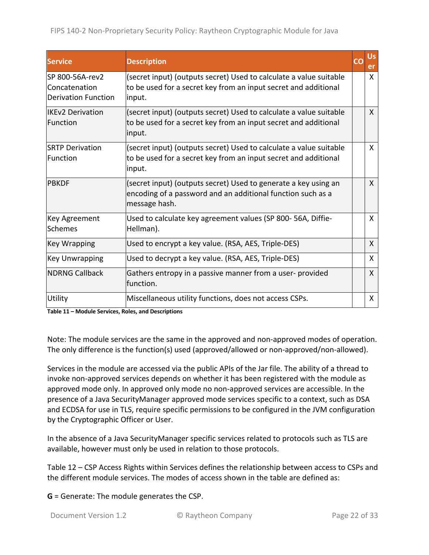| <b>Service</b>                                                  | <b>Description</b>                                                                                                                              | Us<br>er     |
|-----------------------------------------------------------------|-------------------------------------------------------------------------------------------------------------------------------------------------|--------------|
| lSP 800-56A-rev2<br>Concatenation<br><b>Derivation Function</b> | (secret input) (outputs secret) Used to calculate a value suitable<br>to be used for a secret key from an input secret and additional<br>input. | $\mathsf{X}$ |
| lIKEv2 Derivation<br>lFunction                                  | (secret input) (outputs secret) Used to calculate a value suitable<br>to be used for a secret key from an input secret and additional<br>input. | X            |
| <b>SRTP Derivation</b><br>lFunction                             | (secret input) (outputs secret) Used to calculate a value suitable<br>to be used for a secret key from an input secret and additional<br>input. | X            |
| IPBKDF                                                          | (secret input) (outputs secret) Used to generate a key using an<br>encoding of a password and an additional function such as a<br>message hash. | X            |
| Key Agreement<br><b>Schemes</b>                                 | Used to calculate key agreement values (SP 800-56A, Diffie-<br>Hellman).                                                                        | X            |
| Key Wrapping                                                    | Used to encrypt a key value. (RSA, AES, Triple-DES)                                                                                             | X            |
| <b>Key Unwrapping</b>                                           | Used to decrypt a key value. (RSA, AES, Triple-DES)                                                                                             | X            |
| INDRNG Callback                                                 | Gathers entropy in a passive manner from a user-provided<br>function.                                                                           | $\mathsf{X}$ |
| Utility                                                         | Miscellaneous utility functions, does not access CSPs.                                                                                          | X            |

**Table 11 – Module Services, Roles, and Descriptions**

Note: The module services are the same in the approved and non-approved modes of operation. The only difference is the function(s) used (approved/allowed or non-approved/non-allowed).

Services in the module are accessed via the public APIs of the Jar file. The ability of a thread to invoke non-approved services depends on whether it has been registered with the module as approved mode only. In approved only mode no non-approved services are accessible. In the presence of a Java SecurityManager approved mode services specific to a context, such as DSA and ECDSA for use in TLS, require specific permissions to be configured in the JVM configuration by the Cryptographic Officer or User.

In the absence of a Java SecurityManager specific services related to protocols such as TLS are available, however must only be used in relation to those protocols.

Table 12 – CSP Access Rights within Services defines the relationship between access to CSPs and the different module services. The modes of access shown in the table are defined as:

**G** = Generate: The module generates the CSP.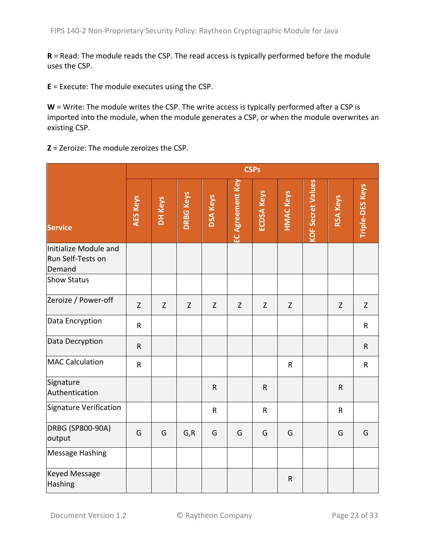**R** = Read: The module reads the CSP. The read access is typically performed before the module uses the CSP.

**E** = Execute: The module executes using the CSP.

**W** = Write: The module writes the CSP. The write access is typically performed after a CSP is imported into the module, when the module generates a CSP, or when the module overwrites an existing CSP.

**Z** = Zeroize: The module zeroizes the CSP.

|                                                      | <b>CSPs</b>     |         |                  |                 |                  |                   |                  |                          |                 |                 |
|------------------------------------------------------|-----------------|---------|------------------|-----------------|------------------|-------------------|------------------|--------------------------|-----------------|-----------------|
| <b>Service</b>                                       | <b>AES Keys</b> | DH Keys | <b>DRBG Keys</b> | <b>DSA Keys</b> | EC Agreement Key | <b>ECDSA Keys</b> | <b>HMAC Keys</b> | <b>KDF Secret Values</b> | <b>RSA Keys</b> | Triple-DES Keys |
| Initialize Module and<br>Run Self-Tests on<br>Demand |                 |         |                  |                 |                  |                   |                  |                          |                 |                 |
| <b>Show Status</b>                                   |                 |         |                  |                 |                  |                   |                  |                          |                 |                 |
| Zeroize / Power-off                                  | $\mathsf{Z}$    | Z       | $\mathsf{Z}$     | $\mathsf{Z}$    | $\mathsf{Z}$     | Z                 | $\mathsf{Z}$     |                          | Z               | Z               |
| Data Encryption                                      | ${\sf R}$       |         |                  |                 |                  |                   |                  |                          |                 | R               |
| Data Decryption                                      | ${\sf R}$       |         |                  |                 |                  |                   |                  |                          |                 | $\mathsf{R}$    |
| <b>MAC Calculation</b>                               | ${\sf R}$       |         |                  |                 |                  |                   | $\mathsf{R}$     |                          |                 | R               |
| Signature<br>Authentication                          |                 |         |                  | ${\sf R}$       |                  | $\sf R$           |                  |                          | $\mathsf{R}$    |                 |
| <b>Signature Verification</b>                        |                 |         |                  | $\mathsf R$     |                  | $\mathsf R$       |                  |                          | $\mathsf{R}$    |                 |
| DRBG (SP800-90A)<br>output                           | G               | G       | G, R             | G               | G                | G                 | G                |                          | G               | G               |
| <b>Message Hashing</b>                               |                 |         |                  |                 |                  |                   |                  |                          |                 |                 |
| <b>Keyed Message</b><br>Hashing                      |                 |         |                  |                 |                  |                   | ${\sf R}$        |                          |                 |                 |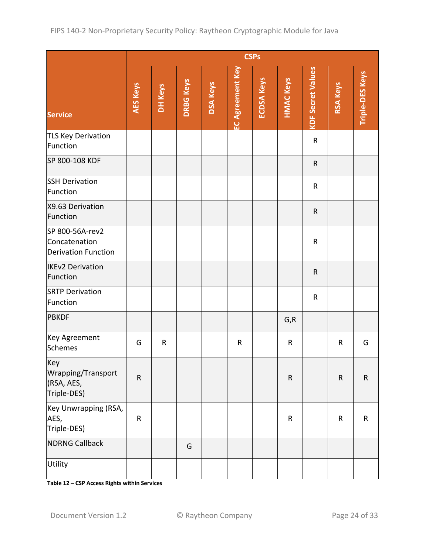|                                                                | <b>CSPs</b> |         |                  |                 |                         |                   |                  |                          |                 |                 |
|----------------------------------------------------------------|-------------|---------|------------------|-----------------|-------------------------|-------------------|------------------|--------------------------|-----------------|-----------------|
| <b>Service</b>                                                 | AES Keys    | DH Keys | <b>DRBG Keys</b> | <b>DSA Keys</b> | <b>EC Agreement Key</b> | <b>ECDSA Keys</b> | <b>HMAC Keys</b> | <b>KDF Secret Values</b> | <b>RSA Keys</b> | Triple-DES Keys |
| <b>TLS Key Derivation</b><br>Function                          |             |         |                  |                 |                         |                   |                  | ${\sf R}$                |                 |                 |
| SP 800-108 KDF                                                 |             |         |                  |                 |                         |                   |                  | $\mathsf{R}$             |                 |                 |
| <b>SSH Derivation</b><br>Function                              |             |         |                  |                 |                         |                   |                  | $\mathsf{R}$             |                 |                 |
| X9.63 Derivation<br>Function                                   |             |         |                  |                 |                         |                   |                  | ${\sf R}$                |                 |                 |
| SP 800-56A-rev2<br>Concatenation<br><b>Derivation Function</b> |             |         |                  |                 |                         |                   |                  | ${\sf R}$                |                 |                 |
| <b>IKEv2 Derivation</b><br>Function                            |             |         |                  |                 |                         |                   |                  | $\mathsf{R}$             |                 |                 |
| <b>SRTP Derivation</b><br>Function                             |             |         |                  |                 |                         |                   |                  | $\mathsf{R}$             |                 |                 |
| <b>PBKDF</b>                                                   |             |         |                  |                 |                         |                   | G, R             |                          |                 |                 |
| Key Agreement<br><b>Schemes</b>                                | G           | R       |                  |                 | $\mathsf{R}$            |                   | $\mathsf{R}$     |                          | R               | G               |
| Key<br>Wrapping/Transport<br>(RSA, AES,<br>Triple-DES)         | ${\sf R}$   |         |                  |                 |                         |                   | ${\sf R}$        |                          | ${\sf R}$       | ${\sf R}$       |
| Key Unwrapping (RSA,<br>AES,<br>Triple-DES)                    | R           |         |                  |                 |                         |                   | ${\sf R}$        |                          | ${\sf R}$       | $\mathsf R$     |
| <b>NDRNG Callback</b>                                          |             |         | G                |                 |                         |                   |                  |                          |                 |                 |
| Utility                                                        |             |         |                  |                 |                         |                   |                  |                          |                 |                 |

**Table 12 – CSP Access Rights within Services**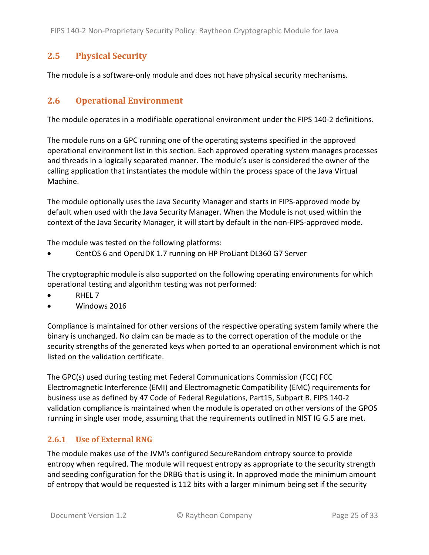### **2.5 Physical Security**

The module is a software-only module and does not have physical security mechanisms.

#### **2.6 Operational Environment**

The module operates in a modifiable operational environment under the FIPS 140-2 definitions.

The module runs on a GPC running one of the operating systems specified in the approved operational environment list in this section. Each approved operating system manages processes and threads in a logically separated manner. The module's user is considered the owner of the calling application that instantiates the module within the process space of the Java Virtual Machine.

The module optionally uses the Java Security Manager and starts in FIPS-approved mode by default when used with the Java Security Manager. When the Module is not used within the context of the Java Security Manager, it will start by default in the non-FIPS-approved mode.

The module was tested on the following platforms:

• CentOS 6 and OpenJDK 1.7 running on HP ProLiant DL360 G7 Server

The cryptographic module is also supported on the following operating environments for which operational testing and algorithm testing was not performed:

- RHEL 7
- Windows 2016

Compliance is maintained for other versions of the respective operating system family where the binary is unchanged. No claim can be made as to the correct operation of the module or the security strengths of the generated keys when ported to an operational environment which is not listed on the validation certificate.

The GPC(s) used during testing met Federal Communications Commission (FCC) FCC Electromagnetic Interference (EMI) and Electromagnetic Compatibility (EMC) requirements for business use as defined by 47 Code of Federal Regulations, Part15, Subpart B. FIPS 140-2 validation compliance is maintained when the module is operated on other versions of the GPOS running in single user mode, assuming that the requirements outlined in NIST IG G.5 are met.

#### **2.6.1 Use of External RNG**

The module makes use of the JVM's configured SecureRandom entropy source to provide entropy when required. The module will request entropy as appropriate to the security strength and seeding configuration for the DRBG that is using it. In approved mode the minimum amount of entropy that would be requested is 112 bits with a larger minimum being set if the security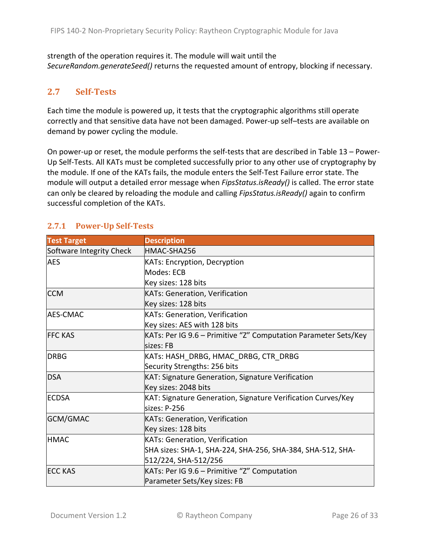strength of the operation requires it. The module will wait until the *SecureRandom.generateSeed()* returns the requested amount of entropy, blocking if necessary.

### **2.7 Self-Tests**

Each time the module is powered up, it tests that the cryptographic algorithms still operate correctly and that sensitive data have not been damaged. Power-up self–tests are available on demand by power cycling the module.

On power-up or reset, the module performs the self-tests that are described in Table 13 – Power-Up Self-Tests. All KATs must be completed successfully prior to any other use of cryptography by the module. If one of the KATs fails, the module enters the Self-Test Failure error state. The module will output a detailed error message when *FipsStatus.isReady()* is called. The error state can only be cleared by reloading the module and calling *FipsStatus.isReady()* again to confirm successful completion of the KATs.

| <b>Test Target</b>       | <b>Description</b>                                              |
|--------------------------|-----------------------------------------------------------------|
| Software Integrity Check | HMAC-SHA256                                                     |
| <b>AES</b>               | <b>KATs: Encryption, Decryption</b>                             |
|                          | Modes: ECB                                                      |
|                          | Key sizes: 128 bits                                             |
| <b>CCM</b>               | <b>KATs: Generation, Verification</b>                           |
|                          | Key sizes: 128 bits                                             |
| <b>AES-CMAC</b>          | <b>KATs: Generation, Verification</b>                           |
|                          | Key sizes: AES with 128 bits                                    |
| <b>FFC KAS</b>           | KATs: Per IG 9.6 - Primitive "Z" Computation Parameter Sets/Key |
|                          | sizes: FB                                                       |
| <b>DRBG</b>              | KATs: HASH_DRBG, HMAC_DRBG, CTR_DRBG                            |
|                          | Security Strengths: 256 bits                                    |
| <b>DSA</b>               | KAT: Signature Generation, Signature Verification               |
|                          | Key sizes: 2048 bits                                            |
| <b>ECDSA</b>             | KAT: Signature Generation, Signature Verification Curves/Key    |
|                          | sizes: P-256                                                    |
| GCM/GMAC                 | <b>KATs: Generation, Verification</b>                           |
|                          | Key sizes: 128 bits                                             |
| <b>HMAC</b>              | <b>KATs: Generation, Verification</b>                           |
|                          | SHA sizes: SHA-1, SHA-224, SHA-256, SHA-384, SHA-512, SHA-      |
|                          | 512/224, SHA-512/256                                            |
| <b>ECC KAS</b>           | KATs: Per IG 9.6 - Primitive "Z" Computation                    |
|                          | Parameter Sets/Key sizes: FB                                    |

#### **2.7.1 Power-Up Self-Tests**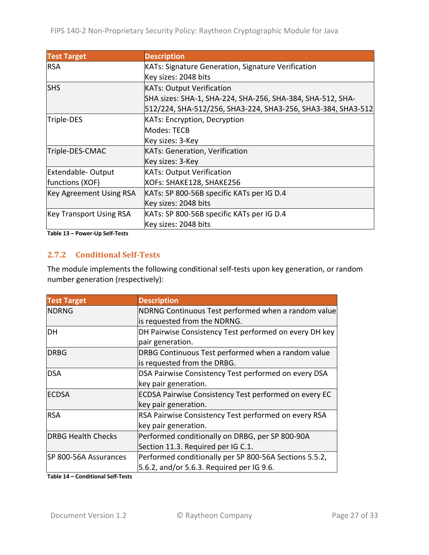| <b>Test Target</b>             | <b>Description</b>                                           |
|--------------------------------|--------------------------------------------------------------|
| <b>RSA</b>                     | <b>KATs: Signature Generation, Signature Verification</b>    |
|                                | Key sizes: 2048 bits                                         |
| <b>SHS</b>                     | <b>KATs: Output Verification</b>                             |
|                                | SHA sizes: SHA-1, SHA-224, SHA-256, SHA-384, SHA-512, SHA-   |
|                                | 512/224, SHA-512/256, SHA3-224, SHA3-256, SHA3-384, SHA3-512 |
| Triple-DES                     | <b>KATs: Encryption, Decryption</b>                          |
|                                | Modes: TECB                                                  |
|                                | Key sizes: 3-Key                                             |
| Triple-DES-CMAC                | <b>KATs: Generation, Verification</b>                        |
|                                | Key sizes: 3-Key                                             |
| <b>Extendable-Output</b>       | <b>KATs: Output Verification</b>                             |
| functions (XOF)                | XOFs: SHAKE128, SHAKE256                                     |
| <b>Key Agreement Using RSA</b> | KATs: SP 800-56B specific KATs per IG D.4                    |
|                                | Key sizes: 2048 bits                                         |
| <b>Key Transport Using RSA</b> | KATs: SP 800-56B specific KATs per IG D.4                    |
|                                | Key sizes: 2048 bits                                         |

**Table 13 – Power-Up Self-Tests**

#### **2.7.2 Conditional Self-Tests**

The module implements the following conditional self-tests upon key generation, or random number generation (respectively):

| <b>Test Target</b>        | <b>Description</b>                                           |
|---------------------------|--------------------------------------------------------------|
| <b>NDRNG</b>              | NDRNG Continuous Test performed when a random value          |
|                           | is requested from the NDRNG.                                 |
| DН                        | DH Pairwise Consistency Test performed on every DH key       |
|                           | pair generation.                                             |
| <b>DRBG</b>               | DRBG Continuous Test performed when a random value           |
|                           | is requested from the DRBG.                                  |
| <b>DSA</b>                | DSA Pairwise Consistency Test performed on every DSA         |
|                           | key pair generation.                                         |
| <b>ECDSA</b>              | <b>ECDSA Pairwise Consistency Test performed on every EC</b> |
|                           | key pair generation.                                         |
| <b>RSA</b>                | RSA Pairwise Consistency Test performed on every RSA         |
|                           | key pair generation.                                         |
| <b>DRBG Health Checks</b> | Performed conditionally on DRBG, per SP 800-90A              |
|                           | Section 11.3. Required per IG C.1.                           |
| SP 800-56A Assurances     | Performed conditionally per SP 800-56A Sections 5.5.2,       |
|                           | $5.6.2$ , and/or 5.6.3. Required per IG 9.6.                 |

**Table 14 – Conditional Self-Tests**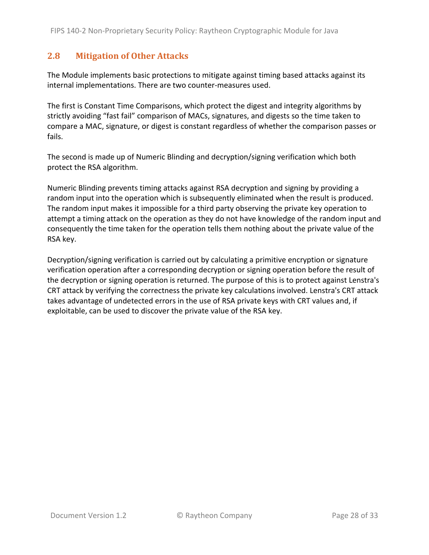#### **2.8 Mitigation of Other Attacks**

The Module implements basic protections to mitigate against timing based attacks against its internal implementations. There are two counter-measures used.

The first is Constant Time Comparisons, which protect the digest and integrity algorithms by strictly avoiding "fast fail" comparison of MACs, signatures, and digests so the time taken to compare a MAC, signature, or digest is constant regardless of whether the comparison passes or fails.

The second is made up of Numeric Blinding and decryption/signing verification which both protect the RSA algorithm.

Numeric Blinding prevents timing attacks against RSA decryption and signing by providing a random input into the operation which is subsequently eliminated when the result is produced. The random input makes it impossible for a third party observing the private key operation to attempt a timing attack on the operation as they do not have knowledge of the random input and consequently the time taken for the operation tells them nothing about the private value of the RSA key.

Decryption/signing verification is carried out by calculating a primitive encryption or signature verification operation after a corresponding decryption or signing operation before the result of the decryption or signing operation is returned. The purpose of this is to protect against Lenstra's CRT attack by verifying the correctness the private key calculations involved. Lenstra's CRT attack takes advantage of undetected errors in the use of RSA private keys with CRT values and, if exploitable, can be used to discover the private value of the RSA key.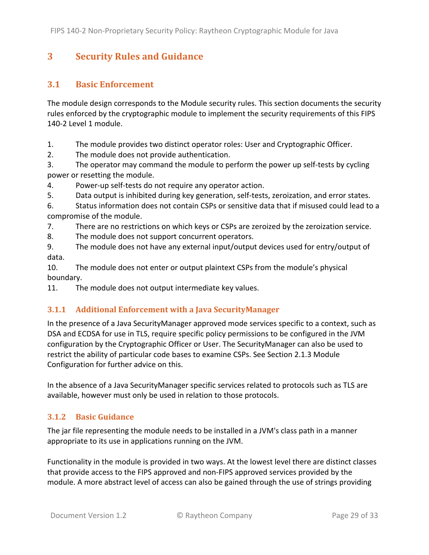# **3 Security Rules and Guidance**

#### **3.1 Basic Enforcement**

The module design corresponds to the Module security rules. This section documents the security rules enforced by the cryptographic module to implement the security requirements of this FIPS 140-2 Level 1 module.

1. The module provides two distinct operator roles: User and Cryptographic Officer.

2. The module does not provide authentication.

3. The operator may command the module to perform the power up self-tests by cycling power or resetting the module.

4. Power-up self-tests do not require any operator action.

5. Data output is inhibited during key generation, self-tests, zeroization, and error states.

6. Status information does not contain CSPs or sensitive data that if misused could lead to a compromise of the module.

7. There are no restrictions on which keys or CSPs are zeroized by the zeroization service.

8. The module does not support concurrent operators.

9. The module does not have any external input/output devices used for entry/output of data.

10. The module does not enter or output plaintext CSPs from the module's physical boundary.

11. The module does not output intermediate key values.

#### **3.1.1 Additional Enforcement with a Java SecurityManager**

In the presence of a Java SecurityManager approved mode services specific to a context, such as DSA and ECDSA for use in TLS, require specific policy permissions to be configured in the JVM configuration by the Cryptographic Officer or User. The SecurityManager can also be used to restrict the ability of particular code bases to examine CSPs. See Section 2.1.3 Module Configuration for further advice on this.

In the absence of a Java SecurityManager specific services related to protocols such as TLS are available, however must only be used in relation to those protocols.

#### **3.1.2 Basic Guidance**

The jar file representing the module needs to be installed in a JVM's class path in a manner appropriate to its use in applications running on the JVM.

Functionality in the module is provided in two ways. At the lowest level there are distinct classes that provide access to the FIPS approved and non-FIPS approved services provided by the module. A more abstract level of access can also be gained through the use of strings providing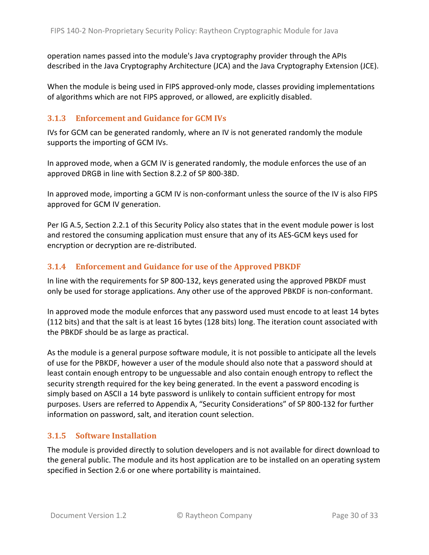operation names passed into the module's Java cryptography provider through the APIs described in the Java Cryptography Architecture (JCA) and the Java Cryptography Extension (JCE).

When the module is being used in FIPS approved-only mode, classes providing implementations of algorithms which are not FIPS approved, or allowed, are explicitly disabled.

#### **3.1.3** Enforcement and Guidance for GCM IVs

IVs for GCM can be generated randomly, where an IV is not generated randomly the module supports the importing of GCM IVs.

In approved mode, when a GCM IV is generated randomly, the module enforces the use of an approved DRGB in line with Section 8.2.2 of SP 800-38D.

In approved mode, importing a GCM IV is non-conformant unless the source of the IV is also FIPS approved for GCM IV generation.

Per IG A.5, Section 2.2.1 of this Security Policy also states that in the event module power is lost and restored the consuming application must ensure that any of its AES-GCM keys used for encryption or decryption are re-distributed.

#### **3.1.4** Enforcement and Guidance for use of the Approved PBKDF

In line with the requirements for SP 800-132, keys generated using the approved PBKDF must only be used for storage applications. Any other use of the approved PBKDF is non-conformant.

In approved mode the module enforces that any password used must encode to at least 14 bytes (112 bits) and that the salt is at least 16 bytes (128 bits) long. The iteration count associated with the PBKDF should be as large as practical.

As the module is a general purpose software module, it is not possible to anticipate all the levels of use for the PBKDF, however a user of the module should also note that a password should at least contain enough entropy to be unguessable and also contain enough entropy to reflect the security strength required for the key being generated. In the event a password encoding is simply based on ASCII a 14 byte password is unlikely to contain sufficient entropy for most purposes. Users are referred to Appendix A, "Security Considerations" of SP 800-132 for further information on password, salt, and iteration count selection.

#### **3.1.5** Software Installation

The module is provided directly to solution developers and is not available for direct download to the general public. The module and its host application are to be installed on an operating system specified in Section 2.6 or one where portability is maintained.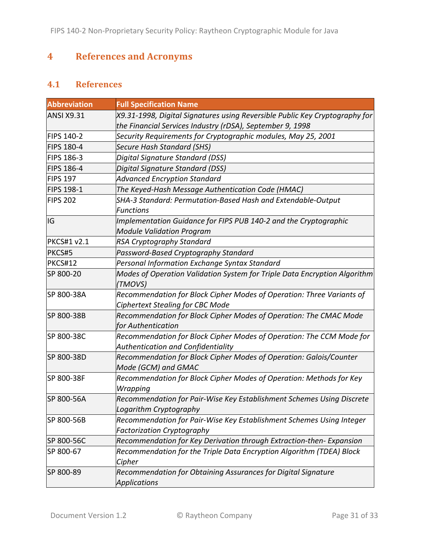# **4 References and Acronyms**

### **4.1 References**

| <b>Abbreviation</b> | <b>Full Specification Name</b>                                                                                                           |
|---------------------|------------------------------------------------------------------------------------------------------------------------------------------|
| <b>ANSI X9.31</b>   | X9.31-1998, Digital Signatures using Reversible Public Key Cryptography for<br>the Financial Services Industry (rDSA), September 9, 1998 |
| <b>FIPS 140-2</b>   | Security Requirements for Cryptographic modules, May 25, 2001                                                                            |
| <b>FIPS 180-4</b>   | Secure Hash Standard (SHS)                                                                                                               |
| <b>FIPS 186-3</b>   | Digital Signature Standard (DSS)                                                                                                         |
| <b>FIPS 186-4</b>   | Digital Signature Standard (DSS)                                                                                                         |
| <b>FIPS 197</b>     | <b>Advanced Encryption Standard</b>                                                                                                      |
| FIPS 198-1          | The Keyed-Hash Message Authentication Code (HMAC)                                                                                        |
| <b>FIPS 202</b>     | SHA-3 Standard: Permutation-Based Hash and Extendable-Output<br><b>Functions</b>                                                         |
| IG                  | Implementation Guidance for FIPS PUB 140-2 and the Cryptographic<br><b>Module Validation Program</b>                                     |
| <b>PKCS#1 v2.1</b>  | RSA Cryptography Standard                                                                                                                |
| PKCS#5              | Password-Based Cryptography Standard                                                                                                     |
| PKCS#12             | Personal Information Exchange Syntax Standard                                                                                            |
| SP 800-20           | Modes of Operation Validation System for Triple Data Encryption Algorithm<br>(TMOVS)                                                     |
| SP 800-38A          | Recommendation for Block Cipher Modes of Operation: Three Variants of<br>Ciphertext Stealing for CBC Mode                                |
| SP 800-38B          | Recommendation for Block Cipher Modes of Operation: The CMAC Mode<br>for Authentication                                                  |
| SP 800-38C          | Recommendation for Block Cipher Modes of Operation: The CCM Mode for<br>Authentication and Confidentiality                               |
| SP 800-38D          | Recommendation for Block Cipher Modes of Operation: Galois/Counter<br>Mode (GCM) and GMAC                                                |
| SP 800-38F          | Recommendation for Block Cipher Modes of Operation: Methods for Key<br>Wrapping                                                          |
| SP 800-56A          | Recommendation for Pair-Wise Key Establishment Schemes Using Discrete<br>Logarithm Cryptography                                          |
| SP 800-56B          | Recommendation for Pair-Wise Key Establishment Schemes Using Integer<br><b>Factorization Cryptography</b>                                |
| SP 800-56C          | Recommendation for Key Derivation through Extraction-then- Expansion                                                                     |
| SP 800-67           | Recommendation for the Triple Data Encryption Algorithm (TDEA) Block<br>Cipher                                                           |
| SP 800-89           | Recommendation for Obtaining Assurances for Digital Signature<br><b>Applications</b>                                                     |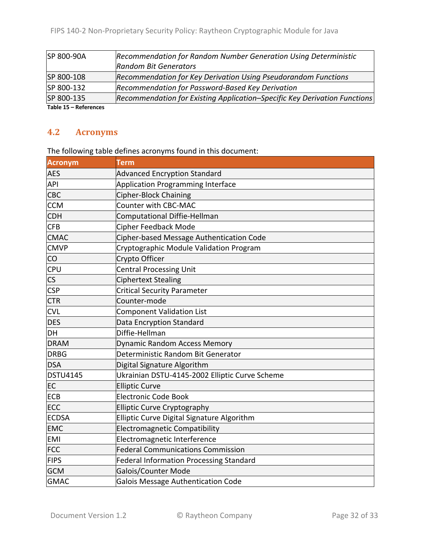| SP 800-90A          | Recommendation for Random Number Generation Using Deterministic           |
|---------------------|---------------------------------------------------------------------------|
|                     | <b>Random Bit Generators</b>                                              |
| SP 800-108          | Recommendation for Key Derivation Using Pseudorandom Functions            |
| SP 800-132          | Recommendation for Password-Based Key Derivation                          |
| SP 800-135          | Recommendation for Existing Application-Specific Key Derivation Functions |
| Table 15 Defensesse |                                                                           |

**Table 15 – References**

#### **4.2 Acronyms**

The following table defines acronyms found in this document:

| <b>Acronym</b>           | <b>Term</b>                                    |
|--------------------------|------------------------------------------------|
| <b>AES</b>               | <b>Advanced Encryption Standard</b>            |
| API                      | Application Programming Interface              |
| <b>CBC</b>               | Cipher-Block Chaining                          |
| <b>CCM</b>               | Counter with CBC-MAC                           |
| <b>CDH</b>               | Computational Diffie-Hellman                   |
| <b>CFB</b>               | Cipher Feedback Mode                           |
| <b>CMAC</b>              | Cipher-based Message Authentication Code       |
| <b>CMVP</b>              | Cryptographic Module Validation Program        |
| CO                       | Crypto Officer                                 |
| <b>CPU</b>               | <b>Central Processing Unit</b>                 |
| $\mathsf{CS}\phantom{0}$ | <b>Ciphertext Stealing</b>                     |
| <b>CSP</b>               | <b>Critical Security Parameter</b>             |
| <b>CTR</b>               | Counter-mode                                   |
| <b>CVL</b>               | <b>Component Validation List</b>               |
| <b>DES</b>               | Data Encryption Standard                       |
| DH                       | Diffie-Hellman                                 |
| <b>DRAM</b>              | Dynamic Random Access Memory                   |
| <b>DRBG</b>              | Deterministic Random Bit Generator             |
| <b>DSA</b>               | Digital Signature Algorithm                    |
| <b>DSTU4145</b>          | Ukrainian DSTU-4145-2002 Elliptic Curve Scheme |
| EC                       | <b>Elliptic Curve</b>                          |
| <b>ECB</b>               | <b>Electronic Code Book</b>                    |
| <b>ECC</b>               | <b>Elliptic Curve Cryptography</b>             |
| <b>ECDSA</b>             | Elliptic Curve Digital Signature Algorithm     |
| <b>EMC</b>               | <b>Electromagnetic Compatibility</b>           |
| <b>EMI</b>               | Electromagnetic Interference                   |
| <b>FCC</b>               | <b>Federal Communications Commission</b>       |
| <b>FIPS</b>              | <b>Federal Information Processing Standard</b> |
| <b>GCM</b>               | Galois/Counter Mode                            |
| <b>GMAC</b>              | Galois Message Authentication Code             |